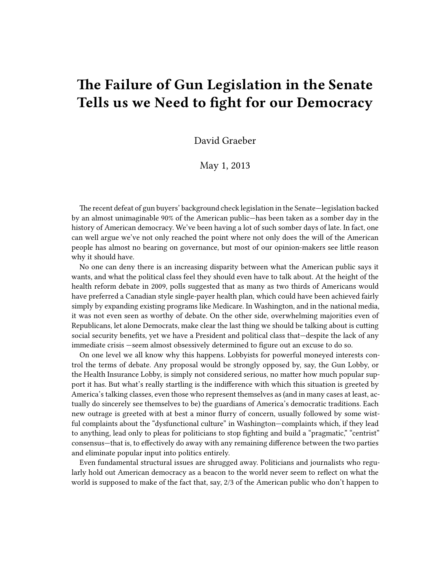## **The Failure of Gun Legislation in the Senate Tells us we Need to fight for our Democracy**

David Graeber

May 1, 2013

The recent defeat of gun buyers' background check legislation in the Senate—legislation backed by an almost unimaginable 90% of the American public—has been taken as a somber day in the history of American democracy. We've been having a lot of such somber days of late. In fact, one can well argue we've not only reached the point where not only does the will of the American people has almost no bearing on governance, but most of our opinion-makers see little reason why it should have.

No one can deny there is an increasing disparity between what the American public says it wants, and what the political class feel they should even have to talk about. At the height of the health reform debate in 2009, polls suggested that as many as two thirds of Americans would have preferred a Canadian style single-payer health plan, which could have been achieved fairly simply by expanding existing programs like Medicare. In Washington, and in the national media, it was not even seen as worthy of debate. On the other side, overwhelming majorities even of Republicans, let alone Democrats, make clear the last thing we should be talking about is cutting social security benefits, yet we have a President and political class that—despite the lack of any immediate crisis —seem almost obsessively determined to figure out an excuse to do so.

On one level we all know why this happens. Lobbyists for powerful moneyed interests control the terms of debate. Any proposal would be strongly opposed by, say, the Gun Lobby, or the Health Insurance Lobby, is simply not considered serious, no matter how much popular support it has. But what's really startling is the indifference with which this situation is greeted by America's talking classes, even those who represent themselves as (and in many cases at least, actually do sincerely see themselves to be) the guardians of America's democratic traditions. Each new outrage is greeted with at best a minor flurry of concern, usually followed by some wistful complaints about the "dysfunctional culture" in Washington—complaints which, if they lead to anything, lead only to pleas for politicians to stop fighting and build a "pragmatic," "centrist" consensus—that is, to effectively do away with any remaining difference between the two parties and eliminate popular input into politics entirely.

Even fundamental structural issues are shrugged away. Politicians and journalists who regularly hold out American democracy as a beacon to the world never seem to reflect on what the world is supposed to make of the fact that, say, 2/3 of the American public who don't happen to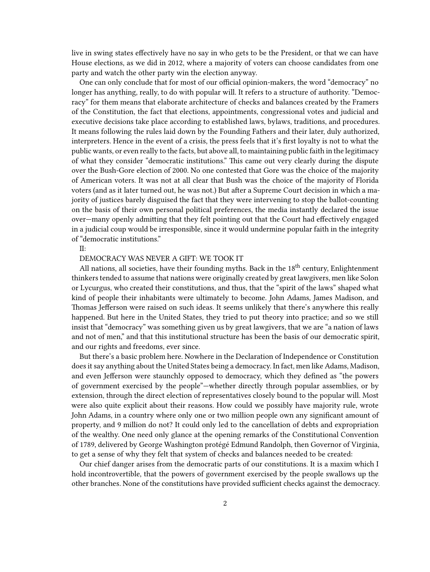live in swing states effectively have no say in who gets to be the President, or that we can have House elections, as we did in 2012, where a majority of voters can choose candidates from one party and watch the other party win the election anyway.

One can only conclude that for most of our official opinion-makers, the word "democracy" no longer has anything, really, to do with popular will. It refers to a structure of authority. "Democracy" for them means that elaborate architecture of checks and balances created by the Framers of the Constitution, the fact that elections, appointments, congressional votes and judicial and executive decisions take place according to established laws, bylaws, traditions, and procedures. It means following the rules laid down by the Founding Fathers and their later, duly authorized, interpreters. Hence in the event of a crisis, the press feels that it's first loyalty is not to what the public wants, or even really to the facts, but above all, to maintaining public faith in the legitimacy of what they consider "democratic institutions." This came out very clearly during the dispute over the Bush-Gore election of 2000. No one contested that Gore was the choice of the majority of American voters. It was not at all clear that Bush was the choice of the majority of Florida voters (and as it later turned out, he was not.) But after a Supreme Court decision in which a majority of justices barely disguised the fact that they were intervening to stop the ballot-counting on the basis of their own personal political preferences, the media instantly declared the issue over—many openly admitting that they felt pointing out that the Court had effectively engaged in a judicial coup would be irresponsible, since it would undermine popular faith in the integrity of "democratic institutions."

 $II^{\cdot}$ 

## DEMOCRACY WAS NEVER A GIFT: WE TOOK IT

All nations, all societies, have their founding myths. Back in the  $18^{\text{th}}$  century, Enlightenment thinkers tended to assume that nations were originally created by great lawgivers, men like Solon or Lycurgus, who created their constitutions, and thus, that the "spirit of the laws" shaped what kind of people their inhabitants were ultimately to become. John Adams, James Madison, and Thomas Jefferson were raised on such ideas. It seems unlikely that there's anywhere this really happened. But here in the United States, they tried to put theory into practice; and so we still insist that "democracy" was something given us by great lawgivers, that we are "a nation of laws and not of men," and that this institutional structure has been the basis of our democratic spirit, and our rights and freedoms, ever since.

But there's a basic problem here. Nowhere in the Declaration of Independence or Constitution does it say anything about the United States being a democracy. In fact, men like Adams, Madison, and even Jefferson were staunchly opposed to democracy, which they defined as "the powers of government exercised by the people"—whether directly through popular assemblies, or by extension, through the direct election of representatives closely bound to the popular will. Most were also quite explicit about their reasons. How could we possibly have majority rule, wrote John Adams, in a country where only one or two million people own any significant amount of property, and 9 million do not? It could only led to the cancellation of debts and expropriation of the wealthy. One need only glance at the opening remarks of the Constitutional Convention of 1789, delivered by George Washington protégé Edmund Randolph, then Governor of Virginia, to get a sense of why they felt that system of checks and balances needed to be created:

Our chief danger arises from the democratic parts of our constitutions. It is a maxim which I hold incontrovertible, that the powers of government exercised by the people swallows up the other branches. None of the constitutions have provided sufficient checks against the democracy.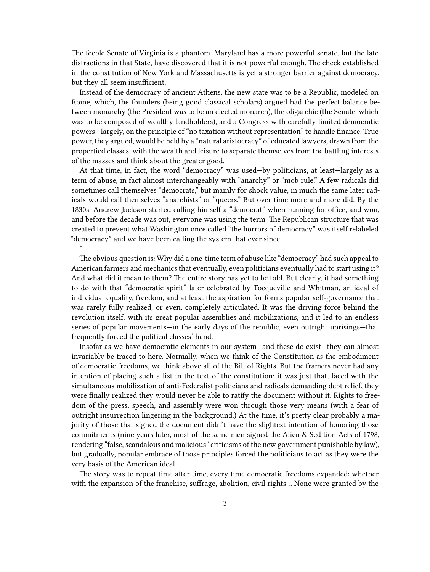The feeble Senate of Virginia is a phantom. Maryland has a more powerful senate, but the late distractions in that State, have discovered that it is not powerful enough. The check established in the constitution of New York and Massachusetts is yet a stronger barrier against democracy, but they all seem insufficient.

Instead of the democracy of ancient Athens, the new state was to be a Republic, modeled on Rome, which, the founders (being good classical scholars) argued had the perfect balance between monarchy (the President was to be an elected monarch), the oligarchic (the Senate, which was to be composed of wealthy landholders), and a Congress with carefully limited democratic powers—largely, on the principle of "no taxation without representation" to handle finance. True power, they argued, would be held by a "natural aristocracy" of educated lawyers, drawn from the propertied classes, with the wealth and leisure to separate themselves from the battling interests of the masses and think about the greater good.

At that time, in fact, the word "democracy" was used—by politicians, at least—largely as a term of abuse, in fact almost interchangeably with "anarchy" or "mob rule." A few radicals did sometimes call themselves "democrats," but mainly for shock value, in much the same later radicals would call themselves "anarchists" or "queers." But over time more and more did. By the 1830s, Andrew Jackson started calling himself a "democrat" when running for office, and won, and before the decade was out, everyone was using the term. The Republican structure that was created to prevent what Washington once called "the horrors of democracy" was itself relabeled "democracy" and we have been calling the system that ever since.

\*

The obvious question is: Why did a one-time term of abuse like "democracy" had such appeal to American farmers and mechanics that eventually, even politicians eventually had to start using it? And what did it mean to them? The entire story has yet to be told. But clearly, it had something to do with that "democratic spirit" later celebrated by Tocqueville and Whitman, an ideal of individual equality, freedom, and at least the aspiration for forms popular self-governance that was rarely fully realized, or even, completely articulated. It was the driving force behind the revolution itself, with its great popular assemblies and mobilizations, and it led to an endless series of popular movements—in the early days of the republic, even outright uprisings—that frequently forced the political classes' hand.

Insofar as we have democratic elements in our system—and these do exist—they can almost invariably be traced to here. Normally, when we think of the Constitution as the embodiment of democratic freedoms, we think above all of the Bill of Rights. But the framers never had any intention of placing such a list in the text of the constitution; it was just that, faced with the simultaneous mobilization of anti-Federalist politicians and radicals demanding debt relief, they were finally realized they would never be able to ratify the document without it. Rights to freedom of the press, speech, and assembly were won through those very means (with a fear of outright insurrection lingering in the background.) At the time, it's pretty clear probably a majority of those that signed the document didn't have the slightest intention of honoring those commitments (nine years later, most of the same men signed the Alien & Sedition Acts of 1798, rendering "false, scandalous and malicious" criticisms of the new government punishable by law), but gradually, popular embrace of those principles forced the politicians to act as they were the very basis of the American ideal.

The story was to repeat time after time, every time democratic freedoms expanded: whether with the expansion of the franchise, suffrage, abolition, civil rights… None were granted by the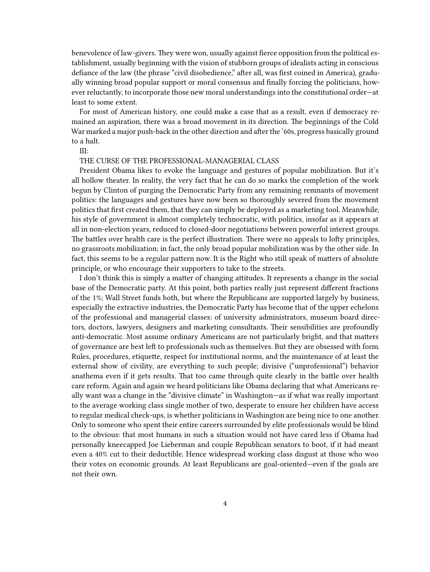benevolence of law-givers. They were won, usually against fierce opposition from the political establishment, usually beginning with the vision of stubborn groups of idealists acting in conscious defiance of the law (the phrase "civil disobedience," after all, was first coined in America), gradually winning broad popular support or moral consensus and finally forcing the politicians, however reluctantly, to incorporate those new moral understandings into the constitutional order—at least to some extent.

For most of American history, one could make a case that as a result, even if democracy remained an aspiration, there was a broad movement in its direction. The beginnings of the Cold War marked a major push-back in the other direction and after the '60s, progress basically ground to a halt.

III:

THE CURSE OF THE PROFESSIONAL-MANAGERIAL CLASS

President Obama likes to evoke the language and gestures of popular mobilization. But it's all hollow theater. In reality, the very fact that he can do so marks the completion of the work begun by Clinton of purging the Democratic Party from any remaining remnants of movement politics: the languages and gestures have now been so thoroughly severed from the movement politics that first created them, that they can simply be deployed as a marketing tool. Meanwhile, his style of government is almost completely technocratic, with politics, insofar as it appears at all in non-election years, reduced to closed-door negotiations between powerful interest groups. The battles over health care is the perfect illustration. There were no appeals to lofty principles, no grassroots mobilization; in fact, the only broad popular mobilization was by the other side. In fact, this seems to be a regular pattern now. It is the Right who still speak of matters of absolute principle, or who encourage their supporters to take to the streets.

I don't think this is simply a matter of changing attitudes. It represents a change in the social base of the Democratic party. At this point, both parties really just represent different fractions of the 1%; Wall Street funds both, but where the Republicans are supported largely by business, especially the extractive industries, the Democratic Party has become that of the upper echelons of the professional and managerial classes: of university administrators, museum board directors, doctors, lawyers, designers and marketing consultants. Their sensibilities are profoundly anti-democratic. Most assume ordinary Americans are not particularly bright, and that matters of governance are best left to professionals such as themselves. But they are obsessed with form. Rules, procedures, etiquette, respect for institutional norms, and the maintenance of at least the external show of civility, are everything to such people; divisive ("unprofessional") behavior anathema even if it gets results. That too came through quite clearly in the battle over health care reform. Again and again we heard politicians like Obama declaring that what Americans really want was a change in the "divisive climate" in Washington—as if what was really important to the average working class single mother of two, desperate to ensure her children have access to regular medical check-ups, is whether politicians in Washington are being nice to one another. Only to someone who spent their entire careers surrounded by elite professionals would be blind to the obvious: that most humans in such a situation would not have cared less if Obama had personally kneecapped Joe Lieberman and couple Republican senators to boot, if it had meant even a 40% cut to their deductible. Hence widespread working class disgust at those who woo their votes on economic grounds. At least Republicans are goal-oriented—even if the goals are not their own.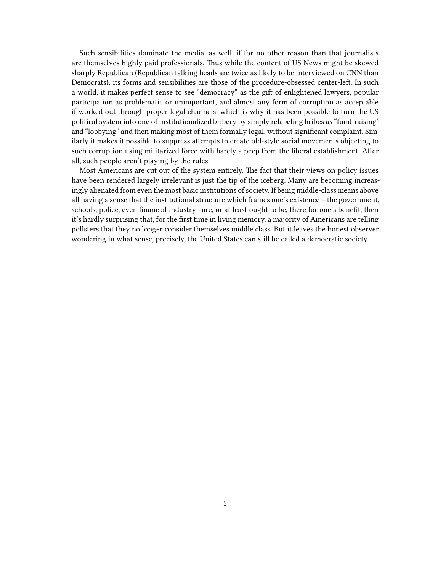Such sensibilities dominate the media, as well, if for no other reason than that journalists are themselves highly paid professionals. Thus while the content of US News might be skewed sharply Republican (Republican talking heads are twice as likely to be interviewed on CNN than Democrats), its forms and sensibilities are those of the procedure-obsessed center-left. In such a world, it makes perfect sense to see "democracy" as the gift of enlightened lawyers, popular participation as problematic or unimportant, and almost any form of corruption as acceptable if worked out through proper legal channels: which is why it has been possible to turn the US political system into one of institutionalized bribery by simply relabeling bribes as "fund-raising" and "lobbying" and then making most of them formally legal, without significant complaint. Similarly it makes it possible to suppress attempts to create old-style social movements objecting to such corruption using militarized force with barely a peep from the liberal establishment. After all, such people aren't playing by the rules.

Most Americans are cut out of the system entirely. The fact that their views on policy issues have been rendered largely irrelevant is just the tip of the iceberg. Many are becoming increasingly alienated from even the most basic institutions of society. If being middle-class means above all having a sense that the institutional structure which frames one's existence —the government, schools, police, even financial industry—are, or at least ought to be, there for one's benefit, then it's hardly surprising that, for the first time in living memory, a majority of Americans are telling pollsters that they no longer consider themselves middle class. But it leaves the honest observer wondering in what sense, precisely, the United States can still be called a democratic society.